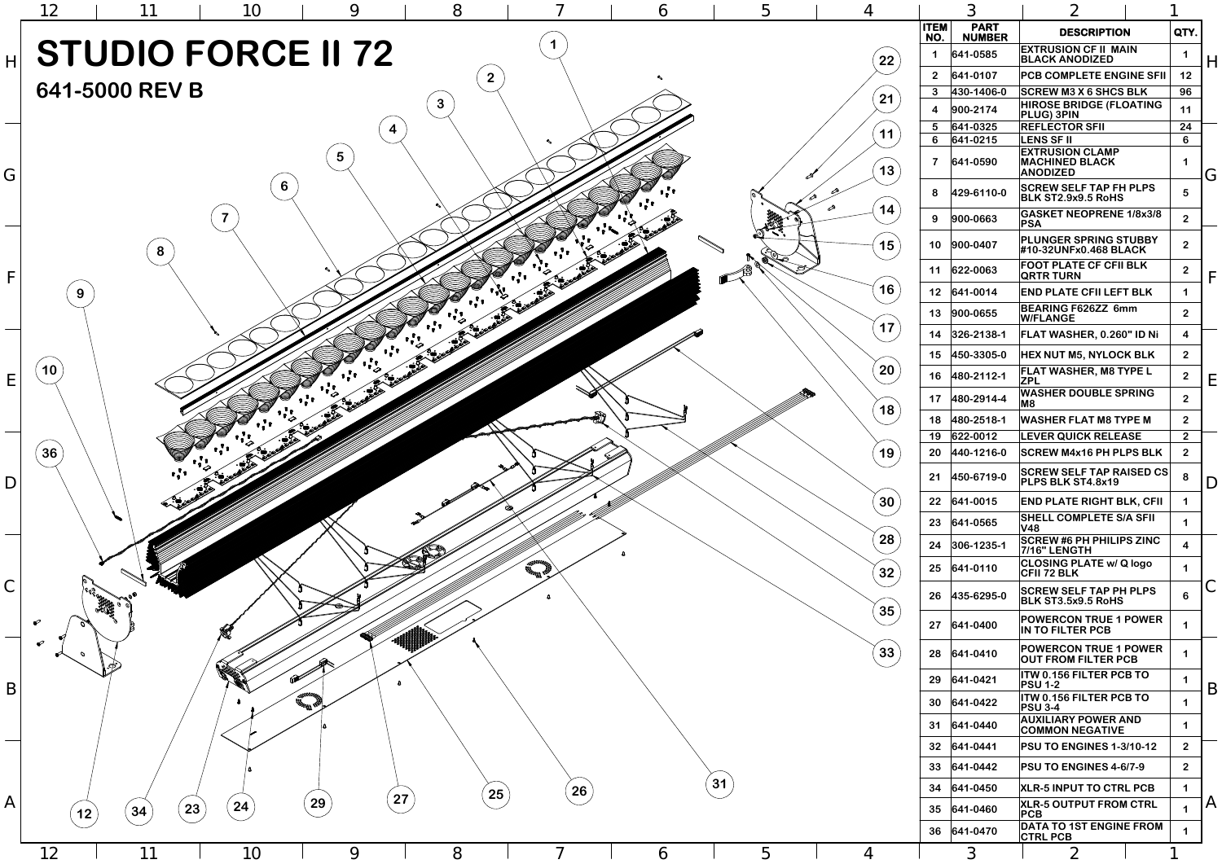| 6                   | ხ<br>4          |         | 3                       |                              |                                                                    |                         |                         |
|---------------------|-----------------|---------|-------------------------|------------------------------|--------------------------------------------------------------------|-------------------------|-------------------------|
|                     |                 |         | <b>ITEM</b><br>NO.      | <b>PART</b><br><b>NUMBER</b> | <b>DESCRIPTION</b>                                                 | QTY.                    |                         |
|                     |                 | 22      | 1                       | 641-0585                     | <b>EXTRUSION CF II MAIN</b><br><b>BLACK ANODIZED</b>               | 1                       | $\mathsf{H}$            |
|                     |                 |         | 2 <sup>2</sup>          | 641-0107                     | <b>PCB COMPLETE ENGINE SFII</b>                                    | 12                      |                         |
|                     |                 | 21      | $\mathbf{3}$            | 430-1406-0                   | <b>SCREW M3 X 6 SHCS BLK</b>                                       | 96                      |                         |
|                     |                 |         | $\overline{\mathbf{4}}$ | 900-2174                     | <b>HIROSE BRIDGE (FLOATING</b><br><b>PLUG) 3PIN</b>                | 11                      |                         |
|                     |                 | 11      | 5<br>$6\phantom{1}$     | 641-0325<br>641-0215         | <b>REFLECTOR SFII</b><br><b>LENS SF II</b>                         | 24<br>6                 |                         |
|                     |                 | 13      | $\overline{7}$          | 641-0590                     | <b>EXTRUSION CLAMP</b><br><b>MACHINED BLACK</b><br><b>ANODIZED</b> | 1                       | G                       |
| $\bullet$ $\bullet$ |                 | ⇗       | 8                       | 429-6110-0                   | <b>SCREW SELF TAP FH PLPS</b><br>BLK ST2.9x9.5 RoHS                | 5                       |                         |
|                     |                 | ∞<br>14 | 9                       | 900-0663                     | <b>GASKET NEOPRENE 1/8x3/8</b><br><b>PSA</b>                       | $\overline{2}$          |                         |
|                     | $\sqrt{2}$<br>ひ | 15      | 10                      | 900-0407                     | <b>PLUNGER SPRING STUBBY</b><br>#10-32UNFx0.468 BLACK              | $\overline{2}$          |                         |
|                     | S               |         | 11                      | 622-0063                     | <b>FOOT PLATE CF CFII BLK</b><br><b>QRTR TURN</b>                  | $\overline{2}$          | F                       |
|                     |                 | 16      | 12                      | 641-0014                     | <b>END PLATE CFII LEFT BLK</b>                                     | 1                       |                         |
|                     |                 | 17      | 13                      | 900-0655                     | <b>BEARING F626ZZ 6mm</b><br><b>W/FLANGE</b>                       | $\overline{2}$          |                         |
|                     |                 | $\cdot$ | 14                      | 326-2138-1                   | FLAT WASHER, 0.260" ID Ni                                          | $\overline{\mathbf{4}}$ |                         |
|                     |                 |         | 15                      | 450-3305-0                   | <b>HEX NUT M5, NYLOCK BLK</b>                                      | 2 <sup>1</sup>          |                         |
|                     |                 | 20      | 16                      | 480-2112-1                   | <b>FLAT WASHER, M8 TYPE L</b><br><b>ZPL</b>                        | 2 <sup>1</sup>          | E.                      |
|                     |                 |         | 17                      | 480-2914-4                   | <b>WASHER DOUBLE SPRING</b><br>M <sub>8</sub>                      | 2 <sup>1</sup>          |                         |
|                     |                 | 18      | 18                      | 480-2518-1                   | <b>WASHER FLAT M8 TYPE M</b>                                       | $\overline{2}$          |                         |
|                     |                 |         | 19                      | 622-0012                     | <b>LEVER QUICK RELEASE</b>                                         | 2 <sup>1</sup>          |                         |
|                     |                 | 19      | 20                      | 440-1216-0                   | <b>SCREW M4x16 PH PLPS BLK</b>                                     | 2 <sup>1</sup>          |                         |
|                     |                 |         | 21                      | 450-6719-0                   | <b>SCREW SELF TAP RAISED CS</b><br>PLPS BLK ST4.8x19               | 8                       | D                       |
|                     |                 | 30      | 22                      | 641-0015                     | <b>END PLATE RIGHT BLK, CFII</b>                                   | 1                       |                         |
|                     |                 |         | 23                      | 641-0565                     | <b>SHELL COMPLETE S/A SFII</b><br><b>V48</b>                       | 1                       |                         |
|                     |                 | 28      | 24                      | 306-1235-1                   | <b>SCREW #6 PH PHILIPS ZINC</b><br><b>7/16" LENGTH</b>             | $\overline{\mathbf{4}}$ |                         |
|                     |                 | 32      | 25                      | $ 641 - 0110 $               | <b>CLOSING PLATE w/ Q logo</b><br><b>CFII 72 BLK</b>               | 1                       |                         |
|                     |                 | 35      | 26                      | 435-6295-0                   | <b>SCREW SELF TAP PH PLPS</b><br><b>BLK ST3.5x9.5 RoHS</b>         | 6                       | С                       |
|                     |                 |         | 27                      | 641-0400                     | <b>POWERCON TRUE 1 POWER</b><br>IN TO FILTER PCB                   | 1                       |                         |
|                     |                 | 33      | 28                      | $ 641-0410 $                 | <b>POWERCON TRUE 1 POWER</b><br><b>OUT FROM FILTER PCB</b>         | 1                       |                         |
|                     |                 |         | 29                      | 641-0421                     | <b>ITW 0.156 FILTER PCB TO</b><br><b>PSU 1-2</b>                   | 1                       | B                       |
|                     |                 |         | 30                      | $ 641-0422 $                 | <b>ITW 0.156 FILTER PCB TO</b><br><b>PSU 3-4</b>                   | 1                       |                         |
|                     |                 |         | 31                      | 641-0440                     | <b>AUXILIARY POWER AND</b><br><b>COMMON NEGATIVE</b>               | 1                       |                         |
|                     |                 |         | 32                      | $ 641 - 0441 $               | <b>PSU TO ENGINES 1-3/10-12</b>                                    | 2 <sup>1</sup>          |                         |
|                     |                 |         | 33                      | $ 641 - 0442 $               | <b>PSU TO ENGINES 4-6/7-9</b>                                      | 2 <sup>1</sup>          |                         |
|                     | 31              |         | 34                      | 641-0450                     | <b>XLR-5 INPUT TO CTRL PCB</b>                                     | 1                       |                         |
|                     |                 |         | 35                      | $ 641 - 0460 $               | <b>XLR-5 OUTPUT FROM CTRL</b><br>PCB                               | 1                       | $\overline{\mathsf{A}}$ |
|                     |                 |         | 36                      | 641-0470                     | <b>DATA TO 1ST ENGINE FROM</b><br><b>CTRL PCB</b>                  | 1                       |                         |
| 6                   | 5               | 4       |                         | $\mathfrak{Z}$               | $\overline{2}$                                                     |                         |                         |